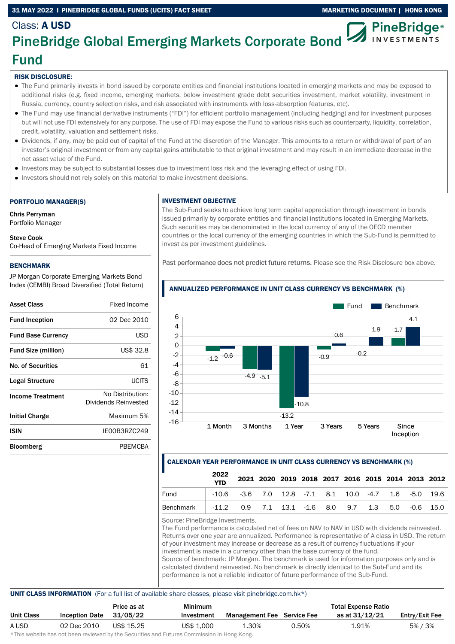## 31 MAY 2022 I PINEBRIDGE GLOBAL FUNDS (UCITS) FACT SHEET MARKETING DOCUMENT | HONG KONG

# Class: A USD

## **PineBridge**® **INVESTMENTS**

## PineBridge Global Emerging Markets Corporate Bond Fund

## RISK DISCLOSURE:

- The Fund primarily invests in bond issued by corporate entities and financial institutions located in emerging markets and may be exposed to additional risks (e.g. fixed income, emerging markets, below investment grade debt securities investment, market volatility, investment in Russia, currency, country selection risks, and risk associated with instruments with loss-absorption features, etc).
- The Fund may use financial derivative instruments ("FDI") for efficient portfolio management (including hedging) and for investment purposes but will not use FDI extensively for any purpose. The use of FDI may expose the Fund to various risks such as counterparty, liquidity, correlation, credit, volatility, valuation and settlement risks.
- Dividends, if any, may be paid out of capital of the Fund at the discretion of the Manager. This amounts to a return or withdrawal of part of an investor's original investment or from any capital gains attributable to that original investment and may result in an immediate decrease in the net asset value of the Fund.
- Investors may be subject to substantial losses due to investment loss risk and the leveraging effect of using FDI.
- Investors should not rely solely on this material to make investment decisions.

### PORTFOLIO MANAGER(S)

Chris Perryman Portfolio Manager

## Steve Cook

Co-Head of Emerging Markets Fixed Income

### BENCHMARK

JP Morgan Corporate Emerging Markets Bond Index (CEMBI) Broad Diversified (Total Return)

| Fixed Income                             |
|------------------------------------------|
| 02 Dec 2010                              |
| USD                                      |
| US\$ 32.8                                |
| 61                                       |
| LICITS                                   |
| No Distribution:<br>Dividends Reinvested |
| Maximum 5%                               |
| IF00B3R7C249                             |
| PRFMCRA                                  |
|                                          |

## INVESTMENT OBJECTIVE

The Sub-Fund seeks to achieve long term capital appreciation through investment in bonds issued primarily by corporate entities and financial institutions located in Emerging Markets. Such securities may be denominated in the local currency of any of the OECD member countries or the local currency of the emerging countries in which the Sub-Fund is permitted to invest as per investment guidelines.

Past performance does not predict future returns. Please see the Risk Disclosure box above.



## ANNUALIZED PERFORMANCE IN UNIT CLASS CURRENCY VS BENCHMARK (%)

## CALENDAR YEAR PERFORMANCE IN UNIT CLASS CURRENCY VS BENCHMARK (%)

|                                                               | 2022                                                           |  |  |  |  | 2021 2020 2019 2018 2017 2016 2015 2014 2013 2012 |
|---------------------------------------------------------------|----------------------------------------------------------------|--|--|--|--|---------------------------------------------------|
| Fund                                                          | $-10.6$ $-3.6$ 7.0 12.8 $-7.1$ 8.1 10.0 $-4.7$ 1.6 $-5.0$ 19.6 |  |  |  |  |                                                   |
| Benchmark   -11.2 0.9 7.1 13.1 -1.6 8.0 9.7 1.3 5.0 -0.6 15.0 |                                                                |  |  |  |  |                                                   |

Source: PineBridge Investments.

The Fund performance is calculated net of fees on NAV to NAV in USD with dividends reinvested. Returns over one year are annualized. Performance is representative of A class in USD. The return of your investment may increase or decrease as a result of currency fluctuations if your investment is made in a currency other than the base currency of the fund. Source of benchmark: JP Morgan. The benchmark is used for information purposes only and is calculated dividend reinvested. No benchmark is directly identical to the Sub-Fund and its performance is not a reliable indicator of future performance of the Sub-Fund.

## UNIT CLASS INFORMATION (For a full list of available share classes, please visit pinebridge.com.hk\*)

|                   |                       | Price as at | Minimum    |                                   |       | <b>Total Expense Ratio</b> |                |
|-------------------|-----------------------|-------------|------------|-----------------------------------|-------|----------------------------|----------------|
| <b>Unit Class</b> | <b>Inception Date</b> | 31/05/22    | Investment | <b>Management Fee</b> Service Fee |       | as at 31/12/21             | Entry/Exit Fee |
| A USD             | 02 Dec 2010           | US\$ 15.25  | US\$ 1,000 | 1.30%                             | 0.50% | 1.91%                      | 5% / 3%        |

This website has not been reviewed by the Securities and Futures Commission in Hong Kong.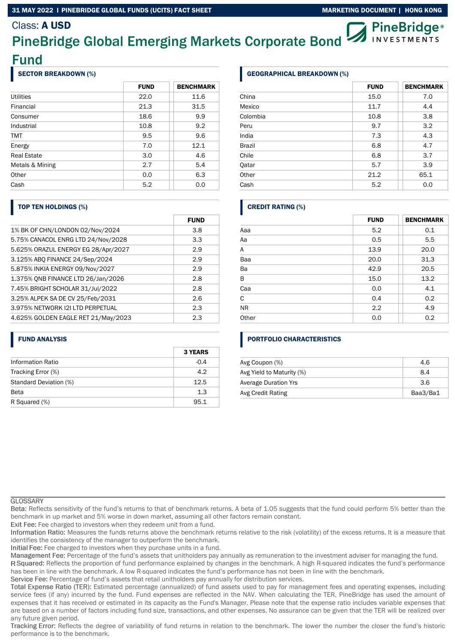## 31 MAY 2022 I PINEBRIDGE GLOBAL FUNDS (UCITS) FACT SHEET MARKETING MARKETING DOCUMENT | HONG KONG

## Class: A USD

## **PineBridge**® PineBridge Global Emerging Markets Corporate Bond **INVESTMENTS**

Fund

## SECTOR BREAKDOWN (%)

|                    | <b>FUND</b> | <b>BENCHMARK</b> |
|--------------------|-------------|------------------|
| Utilities          | 22.0        | 11.6             |
| Financial          | 21.3        | 31.5             |
| Consumer           | 18.6        | 9.9              |
| Industrial         | 10.8        | 9.2              |
| <b>TMT</b>         | 9.5         | 9.6              |
| Energy             | 7.0         | 12.1             |
| <b>Real Estate</b> | 3.0         | 4.6              |
| Metals & Mining    | 2.7         | 5.4              |
| Other              | 0.0         | 6.3              |
| Cash               | 5.2         | 0.0              |

## TOP TEN HOLDINGS (%)

|                                     | <b>FUND</b> |
|-------------------------------------|-------------|
| 1% BK OF CHN/LONDON 02/Nov/2024     | 3.8         |
| 5.75% CANACOL ENRG LTD 24/Nov/2028  | 3.3         |
| 5.625% ORAZUL ENERGY EG 28/Apr/2027 | 2.9         |
| 3.125% ABO FINANCE 24/Sep/2024      | 2.9         |
| 5.875% INKIA ENERGY 09/Nov/2027     | 2.9         |
| 1.375% ONB FINANCE LTD 26/Jan/2026  | 2.8         |
| 7.45% BRIGHT SCHOLAR 31/Jul/2022    | 2.8         |
| 3.25% ALPEK SA DE CV 25/Feb/2031    | 2.6         |
| 3.975% NETWORK 12I LTD PERPETUAL    | 2.3         |
| 4.625% GOLDEN EAGLE RET 21/May/2023 | 2.3         |

## FUND ANALYSIS

|                          | <b>3 YEARS</b> |
|--------------------------|----------------|
| <b>Information Ratio</b> | $-0.4$         |
| Tracking Error (%)       | 4.2            |
| Standard Deviation (%)   | 12.5           |
| <b>Beta</b>              | 1.3            |
| R Squared (%)            | 95.1           |

## GEOGRAPHICAL BREAKDOWN (%)

|               | <b>FUND</b> | <b>BENCHMARK</b> |
|---------------|-------------|------------------|
| China         | 15.0        | 7.0              |
| Mexico        | 11.7        | 4.4              |
| Colombia      | 10.8        | 3.8              |
| Peru          | 9.7         | 3.2              |
| India         | 7.3         | 4.3              |
| <b>Brazil</b> | 6.8         | 4.7              |
| Chile         | 6.8         | 3.7              |
| Qatar         | 5.7         | 3.9              |
| Other         | 21.2        | 65.1             |
| Cash          | 5.2         | 0.0              |

## CREDIT RATING (%)

|           | <b>FUND</b> | <b>BENCHMARK</b> |
|-----------|-------------|------------------|
| Aaa       | 5.2         | 0.1              |
| Aa        | 0.5         | 5.5              |
| Α         | 13.9        | 20.0             |
| Baa       | 20.0        | 31.3             |
| Ba        | 42.9        | 20.5             |
| B         | 15.0        | 13.2             |
| Caa       | 0.0         | 4.1              |
| C         | 0.4         | 0.2              |
| <b>NR</b> | 2.2         | 4.9              |
| Other     | 0.0         | 0.2              |

## PORTFOLIO CHARACTERISTICS

| Avg Coupon (%)            | 4.6      |
|---------------------------|----------|
| Avg Yield to Maturity (%) | 8.4      |
| Average Duration Yrs      | 3.6      |
| Avg Credit Rating         | Baa3/Ba1 |

#### **GLOSSARY**

Reflects sensitivity of the fund's returns to that of benchmark returns. A beta of 1.05 suggests that the fund could perform 5% better than the benchmark in up market and 5% worse in down market, assuming all other factors remain constant.

Exit Fee: Fee charged to investors when they redeem unit from a fund.

Information Ratio: Measures the funds returns above the benchmark returns relative to the risk (volatility) of the excess returns. It is a measure that identifies the consistency of the manager to outperform the benchmark.

Initial Fee: Fee charged to investors when they purchase units in a fund.

Management Fee: Percentage of the fund's assets that unitholders pay annually as remuneration to the investment adviser for managing the fund.

R Squared: Reflects the proportion of fund performance explained by changes in the benchmark. A high R-squared indicates the fund's performance has been in line with the benchmark. A low R-squared indicates the fund's performance has not been in line with the benchmark.

Service Fee: Percentage of fund's assets that retail unitholders pay annually for distribution services.

Total Expense Ratio (TER): Estimated percentage (annualized) of fund assets used to pay for management fees and operating expenses, including service fees (if any) incurred by the fund. Fund expenses are reflected in the NAV. When calculating the TER, PineBridge has used the amount of expenses that it has received or estimated in its capacity as the Fund's Manager. Please note that the expense ratio includes variable expenses that are based on a number of factors including fund size, transactions, and other expenses. No assurance can be given that the TER will be realized over any future given period.

Tracking Error: Reflects the degree of variability of fund returns in relation to the benchmark. The lower the number the closer the fund's historic performance is to the benchmark.